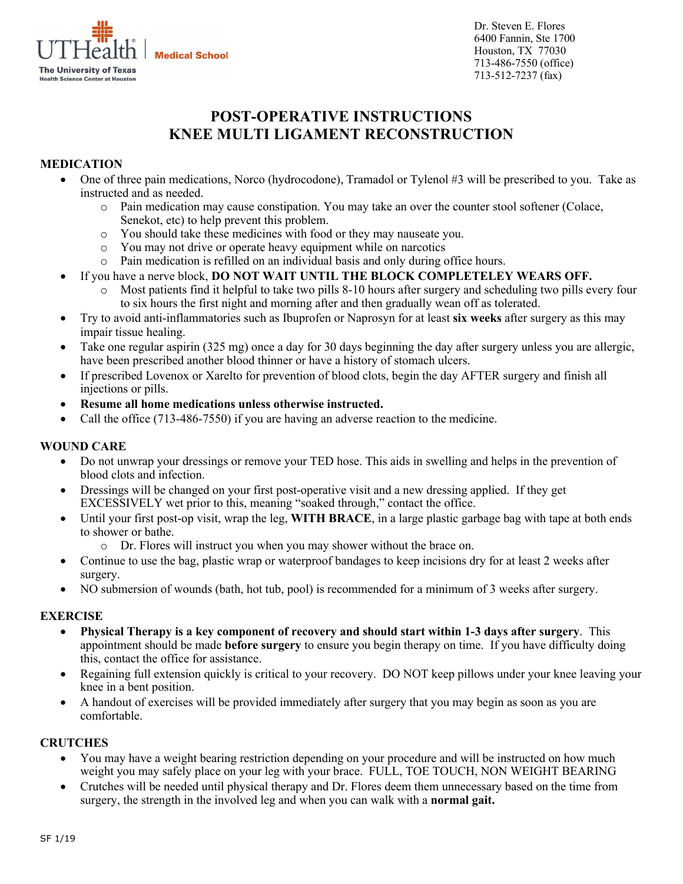

Dr. Steven E. Flores 6400 Fannin, Ste 1700 Houston, TX 77030 713-486-7550 (office) 713-512-7237 (fax)

# **POST-OPERATIVE INSTRUCTIONS KNEE MULTI LIGAMENT RECONSTRUCTION**

## **MEDICATION**

- One of three pain medications, Norco (hydrocodone), Tramadol or Tylenol #3 will be prescribed to you. Take as instructed and as needed.
	- o Pain medication may cause constipation. You may take an over the counter stool softener (Colace, Senekot, etc) to help prevent this problem.
	- o You should take these medicines with food or they may nauseate you.
	- o You may not drive or operate heavy equipment while on narcotics
	- o Pain medication is refilled on an individual basis and only during office hours.
- If you have a nerve block, **DO NOT WAIT UNTIL THE BLOCK COMPLETELEY WEARS OFF.** 
	- o Most patients find it helpful to take two pills 8-10 hours after surgery and scheduling two pills every four to six hours the first night and morning after and then gradually wean off as tolerated.
- Try to avoid anti-inflammatories such as Ibuprofen or Naprosyn for at least **six weeks** after surgery as this may impair tissue healing.
- Take one regular aspirin (325 mg) once a day for 30 days beginning the day after surgery unless you are allergic, have been prescribed another blood thinner or have a history of stomach ulcers.
- If prescribed Lovenox or Xarelto for prevention of blood clots, begin the day AFTER surgery and finish all injections or pills.
- **Resume all home medications unless otherwise instructed.**
- Call the office (713-486-7550) if you are having an adverse reaction to the medicine.

## **WOUND CARE**

- Do not unwrap your dressings or remove your TED hose. This aids in swelling and helps in the prevention of blood clots and infection.
- Dressings will be changed on your first post-operative visit and a new dressing applied. If they get EXCESSIVELY wet prior to this, meaning "soaked through," contact the office.
- Until your first post-op visit, wrap the leg, **WITH BRACE**, in a large plastic garbage bag with tape at both ends to shower or bathe.
	- o Dr. Flores will instruct you when you may shower without the brace on.
- Continue to use the bag, plastic wrap or waterproof bandages to keep incisions dry for at least 2 weeks after surgery.
- NO submersion of wounds (bath, hot tub, pool) is recommended for a minimum of 3 weeks after surgery.

### **EXERCISE**

- **Physical Therapy is a key component of recovery and should start within 1-3 days after surgery**. This appointment should be made **before surgery** to ensure you begin therapy on time. If you have difficulty doing this, contact the office for assistance.
- Regaining full extension quickly is critical to your recovery. DO NOT keep pillows under your knee leaving your knee in a bent position.
- A handout of exercises will be provided immediately after surgery that you may begin as soon as you are comfortable.

## **CRUTCHES**

- You may have a weight bearing restriction depending on your procedure and will be instructed on how much weight you may safely place on your leg with your brace. FULL, TOE TOUCH, NON WEIGHT BEARING
- Crutches will be needed until physical therapy and Dr. Flores deem them unnecessary based on the time from surgery, the strength in the involved leg and when you can walk with a **normal gait.**